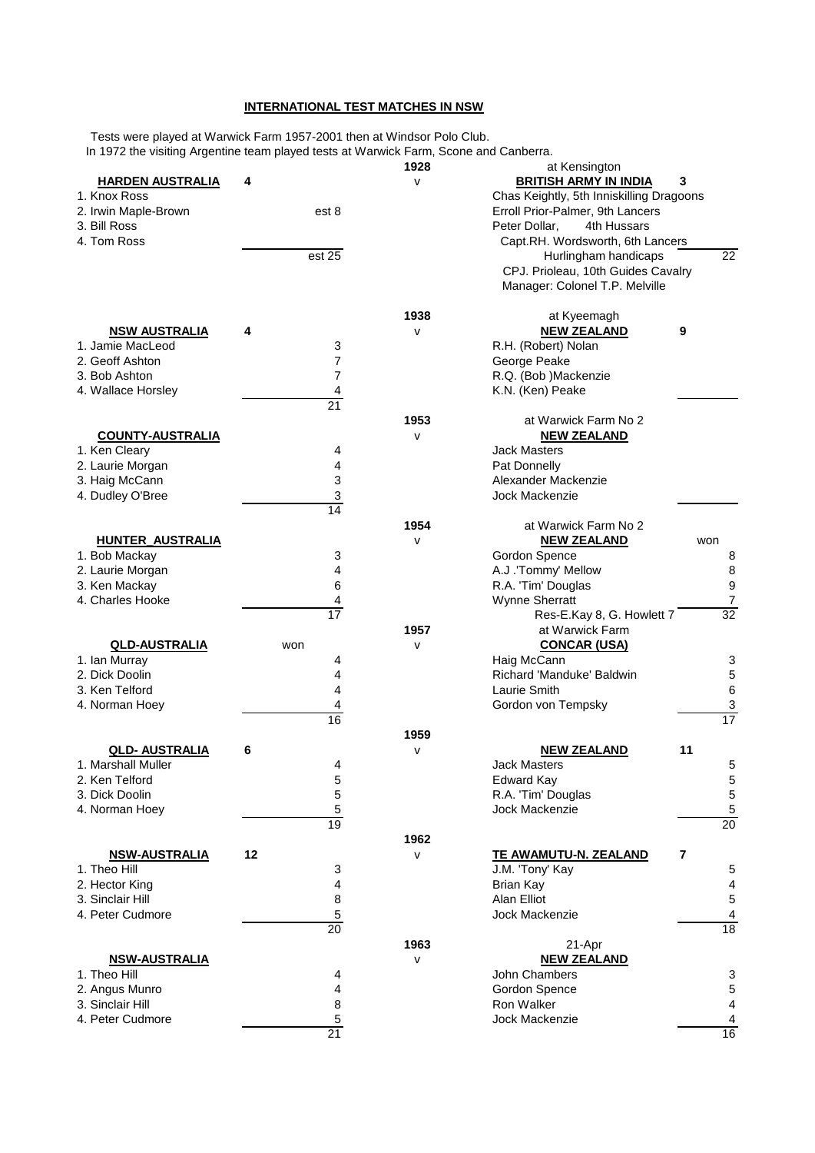## **INTERNATIONAL TEST MATCHES IN NSW**

 Tests were played at Warwick Farm 1957-2001 then at Windsor Polo Club. In 1972 the visiting Argentine team played tests at Warwick Farm, Scone and Canberra.

|                         |                 | 1928         | at Kensington                            |                         |  |
|-------------------------|-----------------|--------------|------------------------------------------|-------------------------|--|
| <b>HARDEN AUSTRALIA</b> | 4               | $\mathsf{v}$ | <b>BRITISH ARMY IN INDIA</b>             | 3                       |  |
| 1. Knox Ross            |                 |              | Chas Keightly, 5th Inniskilling Dragoons |                         |  |
|                         |                 |              |                                          |                         |  |
| 2. Irwin Maple-Brown    | est 8           |              | Erroll Prior-Palmer, 9th Lancers         |                         |  |
| 3. Bill Ross            |                 |              | Peter Dollar,<br>4th Hussars             |                         |  |
| 4. Tom Ross             |                 |              | Capt.RH. Wordsworth, 6th Lancers         |                         |  |
|                         | est 25          |              | Hurlingham handicaps                     | 22                      |  |
|                         |                 |              |                                          |                         |  |
|                         |                 |              | CPJ. Prioleau, 10th Guides Cavalry       |                         |  |
|                         |                 |              | Manager: Colonel T.P. Melville           |                         |  |
|                         |                 |              |                                          |                         |  |
|                         |                 | 1938         | at Kyeemagh                              |                         |  |
| <b>NSW AUSTRALIA</b>    | 4               | $\mathsf{v}$ | <b>NEW ZEALAND</b>                       | 9                       |  |
|                         |                 |              |                                          |                         |  |
| 1. Jamie MacLeod        | 3               |              | R.H. (Robert) Nolan                      |                         |  |
| 2. Geoff Ashton         | 7               |              | George Peake                             |                         |  |
| 3. Bob Ashton           | $\overline{7}$  |              | R.Q. (Bob )Mackenzie                     |                         |  |
| 4. Wallace Horsley      | 4               |              | K.N. (Ken) Peake                         |                         |  |
|                         |                 |              |                                          |                         |  |
|                         | $\overline{21}$ |              |                                          |                         |  |
|                         |                 | 1953         | at Warwick Farm No 2                     |                         |  |
| <b>COUNTY-AUSTRALIA</b> |                 | $\mathsf{V}$ | <b>NEW ZEALAND</b>                       |                         |  |
| 1. Ken Cleary           | 4               |              | <b>Jack Masters</b>                      |                         |  |
|                         |                 |              |                                          |                         |  |
| 2. Laurie Morgan        | 4               |              | Pat Donnelly                             |                         |  |
| 3. Haig McCann          | 3               |              | Alexander Mackenzie                      |                         |  |
| 4. Dudley O'Bree        | 3               |              | Jock Mackenzie                           |                         |  |
|                         | 14              |              |                                          |                         |  |
|                         |                 | 1954         | at Warwick Farm No 2                     |                         |  |
|                         |                 |              |                                          |                         |  |
| <b>HUNTER_AUSTRALIA</b> |                 | V            | <b>NEW ZEALAND</b>                       | won                     |  |
| 1. Bob Mackay           | 3               |              | Gordon Spence                            | 8                       |  |
| 2. Laurie Morgan        | 4               |              | A.J .'Tommy' Mellow                      | 8                       |  |
| 3. Ken Mackay           | 6               |              | R.A. 'Tim' Douglas                       | 9                       |  |
|                         |                 |              |                                          |                         |  |
| 4. Charles Hooke        | 4               |              | <b>Wynne Sherratt</b>                    | $\boldsymbol{7}$        |  |
|                         | 17              |              | Res-E.Kay 8, G. Howlett 7                | 32                      |  |
|                         |                 | 1957         | at Warwick Farm                          |                         |  |
| <b>QLD-AUSTRALIA</b>    | won             | V            | <b>CONCAR (USA)</b>                      |                         |  |
|                         |                 |              |                                          |                         |  |
| 1. Ian Murray           | 4               |              | Haig McCann                              | 3                       |  |
| 2. Dick Doolin          | 4               |              | Richard 'Manduke' Baldwin                | 5                       |  |
| 3. Ken Telford          | 4               |              | Laurie Smith                             | $\,6$                   |  |
| 4. Norman Hoey          | 4               |              | Gordon von Tempsky                       | 3                       |  |
|                         | 16              |              |                                          | $\overline{17}$         |  |
|                         |                 |              |                                          |                         |  |
|                         |                 | 1959         |                                          |                         |  |
| <b>QLD- AUSTRALIA</b>   | 6               | V            | <b>NEW ZEALAND</b>                       | 11                      |  |
| 1. Marshall Muller      | 4               |              | <b>Jack Masters</b>                      | 5                       |  |
|                         |                 |              |                                          |                         |  |
| 2. Ken Telford          | 5               |              | Edward Kay                               | 5                       |  |
| 3. Dick Doolin          | 5               |              | R.A. 'Tim' Douglas                       | $\,$ 5 $\,$             |  |
| 4. Norman Hoey          | 5               |              | Jock Mackenzie                           | $\overline{5}$          |  |
|                         | 19              |              |                                          | 20                      |  |
|                         |                 | 1962         |                                          |                         |  |
|                         | 12              |              |                                          | 7                       |  |
| <b>NSW-AUSTRALIA</b>    |                 | $\mathsf{v}$ | TE AWAMUTU-N. ZEALAND                    |                         |  |
| 1. Theo Hill            | 3               |              | J.M. 'Tony' Kay                          | 5                       |  |
| 2. Hector King          | 4               |              | Brian Kay                                | $\overline{\mathbf{4}}$ |  |
| 3. Sinclair Hill        | $\, 8$          |              | Alan Elliot                              | $\mathbf 5$             |  |
| 4. Peter Cudmore        |                 |              | <b>Jock Mackenzie</b>                    |                         |  |
|                         | 5               |              |                                          | 4                       |  |
|                         | 20              |              |                                          | 18                      |  |
|                         |                 | 1963         | 21-Apr                                   |                         |  |
| <b>NSW-AUSTRALIA</b>    |                 | v            | <b>NEW ZEALAND</b>                       |                         |  |
| 1. Theo Hill            | 4               |              | John Chambers                            | 3                       |  |
|                         |                 |              |                                          |                         |  |
| 2. Angus Munro          | 4               |              | Gordon Spence                            | 5                       |  |
| 3. Sinclair Hill        | 8               |              | <b>Ron Walker</b>                        | 4                       |  |
| 4. Peter Cudmore        | 5               |              | Jock Mackenzie                           | 4                       |  |
|                         | 21              |              |                                          | 16                      |  |
|                         |                 |              |                                          |                         |  |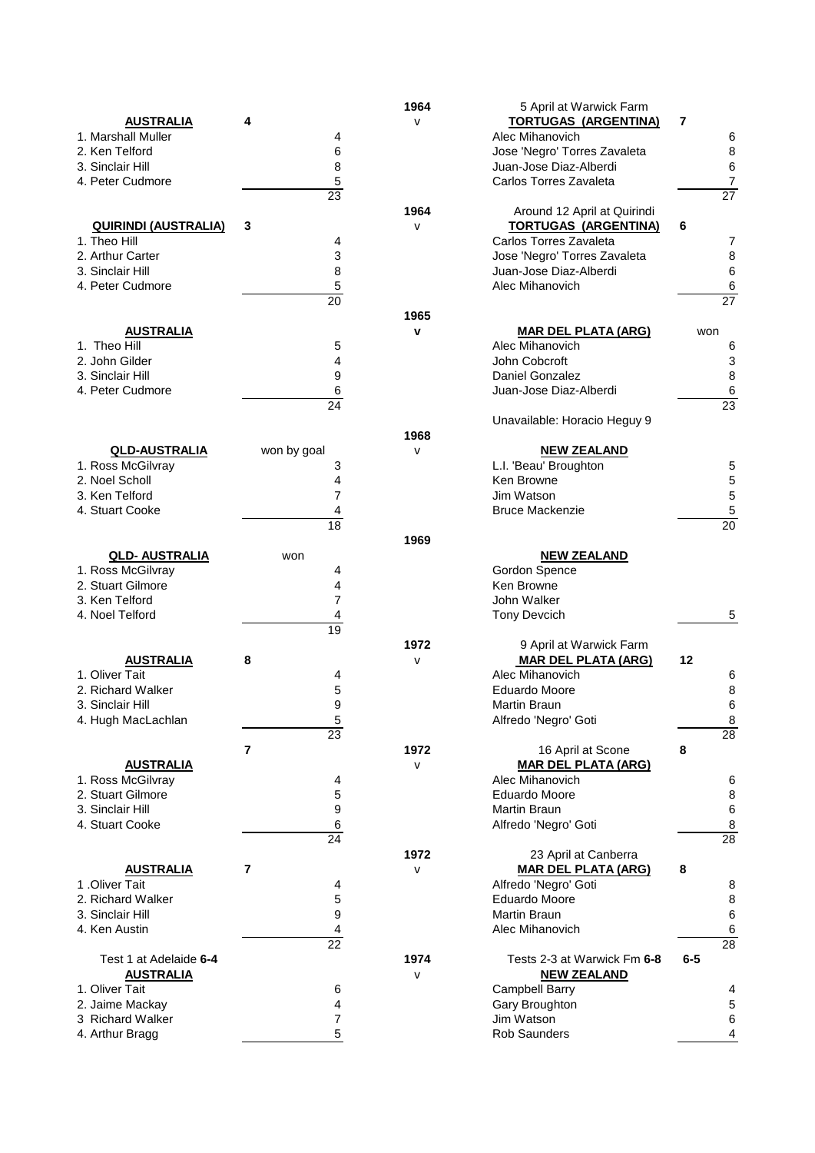|                             |                 | 1964         | 5 April at Warwick Farm      |                  |
|-----------------------------|-----------------|--------------|------------------------------|------------------|
| <b>AUSTRALIA</b>            | 4               | $\mathsf{v}$ | <b>TORTUGAS (ARGENTINA)</b>  | 7                |
| 1. Marshall Muller          | 4               |              | Alec Mihanovich              | 6                |
| 2. Ken Telford              | 6               |              | Jose 'Negro' Torres Zavaleta | 8                |
| 3. Sinclair Hill            | 8               |              | Juan-Jose Diaz-Alberdi       | 6                |
| 4. Peter Cudmore            | 5               |              | Carlos Torres Zavaleta       | $\boldsymbol{7}$ |
|                             | 23              |              |                              | 27               |
|                             |                 | 1964         | Around 12 April at Quirindi  |                  |
| <u>QUIRINDI (AUSTRALIA)</u> | 3               | $\sf{V}$     | <b>TORTUGAS (ARGENTINA)</b>  | 6                |
| 1. Theo Hill                | 4               |              | Carlos Torres Zavaleta       | 7                |
| 2. Arthur Carter            | 3               |              | Jose 'Negro' Torres Zavaleta | 8                |
| 3. Sinclair Hill            | 8               |              | Juan-Jose Diaz-Alberdi       | 6                |
| 4. Peter Cudmore            | 5               |              | Alec Mihanovich              | 6                |
|                             | 20              |              |                              | 27               |
|                             |                 | 1965         |                              |                  |
| <b>AUSTRALIA</b>            |                 | $\mathbf v$  | <b>MAR DEL PLATA (ARG)</b>   | won              |
| 1. Theo Hill                | 5               |              | Alec Mihanovich              | 6                |
| 2. John Gilder              | 4               |              | John Cobcroft                | 3                |
| 3. Sinclair Hill            | 9               |              | Daniel Gonzalez              | 8                |
| 4. Peter Cudmore            | 6               |              | Juan-Jose Diaz-Alberdi       | 6                |
|                             | $\overline{24}$ |              |                              | 23               |
|                             |                 |              | Unavailable: Horacio Heguy 9 |                  |
|                             |                 | 1968         |                              |                  |
| <b>QLD-AUSTRALIA</b>        | won by goal     | $\mathsf{v}$ | <b>NEW ZEALAND</b>           |                  |
| 1. Ross McGilvray           | 3               |              | L.I. 'Beau' Broughton        | 5                |
| 2. Noel Scholl              | 4               |              | Ken Browne                   | 5                |
| 3. Ken Telford              | 7               |              | Jim Watson                   | 5                |
| 4. Stuart Cooke             | 4               |              | <b>Bruce Mackenzie</b>       | 5                |
|                             | $\overline{18}$ |              |                              | $\overline{20}$  |
|                             |                 | 1969         |                              |                  |
| <b>QLD- AUSTRALIA</b>       | won             |              | <b>NEW ZEALAND</b>           |                  |
| 1. Ross McGilvray           | 4               |              | Gordon Spence                |                  |
| 2. Stuart Gilmore           | 4               |              | Ken Browne                   |                  |
| 3. Ken Telford              | 7               |              | John Walker                  |                  |
| 4. Noel Telford             | 4               |              | <b>Tony Devcich</b>          | 5                |
|                             | 19              |              |                              |                  |
|                             |                 | 1972         | 9 April at Warwick Farm      |                  |
| <b>AUSTRALIA</b>            | 8               | $\mathsf{V}$ | <b>MAR DEL PLATA (ARG)</b>   | 12               |
| 1. Oliver Tait              | 4               |              | Alec Mihanovich              | 6                |
| 2. Richard Walker           | 5               |              | <b>Eduardo Moore</b>         | 8                |
| 3. Sinclair Hill            | q               |              | Martin Braun                 | 6                |
| 4. Hugh MacLachlan          | 5               |              | Alfredo 'Negro' Goti         | 8                |
|                             | 23              |              |                              | 28               |
|                             | 7               | 1972         | 16 April at Scone            | 8                |
| <b>AUSTRALIA</b>            |                 | $\sf{V}$     | <b>MAR DEL PLATA (ARG)</b>   |                  |
| 1. Ross McGilvray           | 4               |              | Alec Mihanovich              | 6                |
| 2. Stuart Gilmore           | 5               |              | Eduardo Moore                | 8                |
| 3. Sinclair Hill            | 9               |              | <b>Martin Braun</b>          | 6                |
| 4. Stuart Cooke             | 6               |              | Alfredo 'Negro' Goti         | 8                |
|                             | $\overline{24}$ |              |                              | $\overline{28}$  |
|                             |                 | 1972         | 23 April at Canberra         |                  |
| <b>AUSTRALIA</b>            | 7               | $\mathsf{v}$ | <b>MAR DEL PLATA (ARG)</b>   | 8                |
| 1.Oliver Tait               | 4               |              | Alfredo 'Negro' Goti         | 8                |
| 2. Richard Walker           | 5               |              | Eduardo Moore                | 8                |
| 3. Sinclair Hill            | 9               |              | <b>Martin Braun</b>          | 6                |
| 4. Ken Austin               | 4               |              | Alec Mihanovich              | 6                |
|                             | $\overline{22}$ |              |                              | $\overline{28}$  |
| Test 1 at Adelaide 6-4      |                 | 1974         | Tests 2-3 at Warwick Fm 6-8  | $6-5$            |
| <b>AUSTRALIA</b>            |                 | $\mathsf{v}$ | <b>NEW ZEALAND</b>           |                  |
| 1. Oliver Tait              | 6               |              | <b>Campbell Barry</b>        | 4                |
| 2. Jaime Mackay             | 4               |              | Gary Broughton               | 5                |
| 3 Richard Walker            | 7               |              | Jim Watson                   | 6                |
| 4. Arthur Bragg             | 5               |              | Rob Saunders                 | 4                |
|                             |                 |              |                              |                  |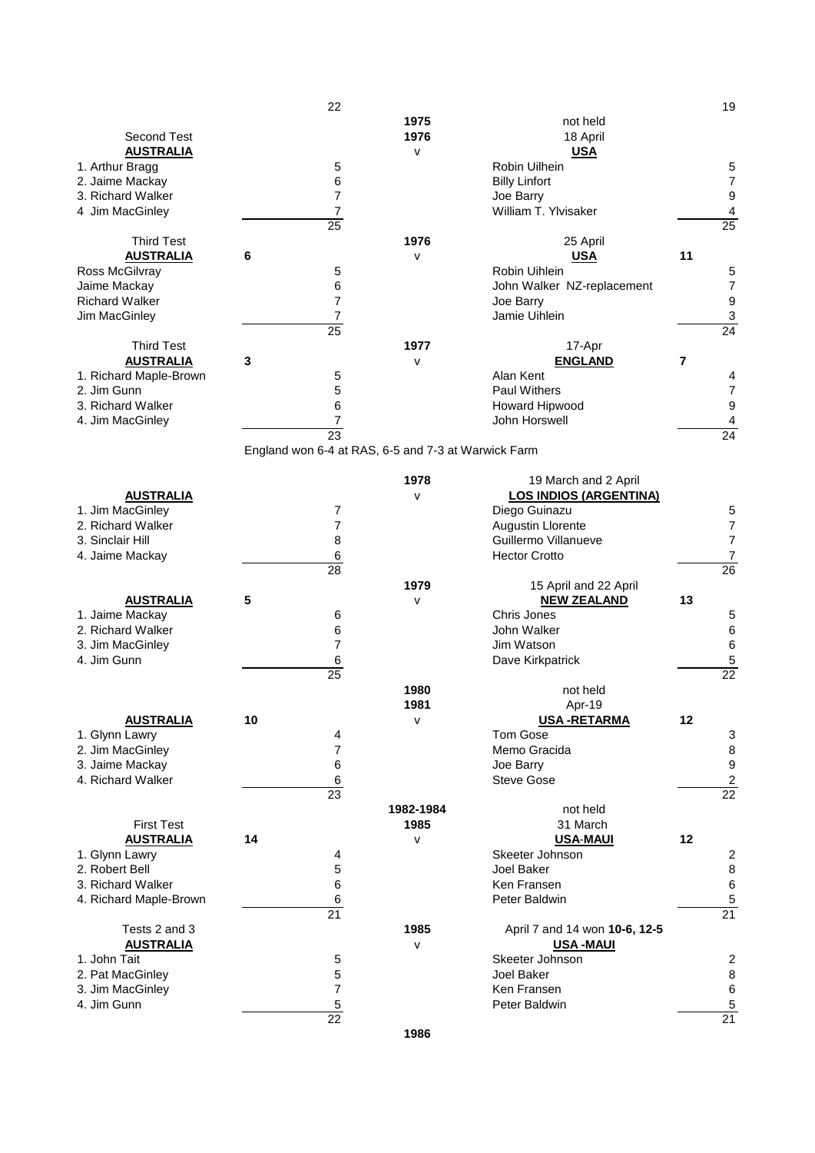|                        | 22                                                  |              |                               |                | 19                      |
|------------------------|-----------------------------------------------------|--------------|-------------------------------|----------------|-------------------------|
|                        |                                                     | 1975         | not held                      |                |                         |
| <b>Second Test</b>     |                                                     | 1976         | 18 April                      |                |                         |
| <b>AUSTRALIA</b>       |                                                     | $\mathsf{V}$ | <b>USA</b>                    |                |                         |
|                        |                                                     |              |                               |                |                         |
| 1. Arthur Bragg        | $\mathbf 5$                                         |              | Robin Uilhein                 |                | 5                       |
| 2. Jaime Mackay        | 6                                                   |              | <b>Billy Linfort</b>          |                | 7                       |
| 3. Richard Walker      | $\overline{7}$                                      |              | Joe Barry                     |                | 9                       |
| 4 Jim MacGinley        | $\boldsymbol{7}$                                    |              | William T. Ylvisaker          |                | 4                       |
|                        | $\overline{25}$                                     |              |                               |                | $\overline{25}$         |
|                        |                                                     |              |                               |                |                         |
| <b>Third Test</b>      |                                                     | 1976         | 25 April                      |                |                         |
| <b>AUSTRALIA</b>       | 6                                                   | $\mathsf{V}$ | <b>USA</b>                    | 11             |                         |
| Ross McGilvray         | 5                                                   |              | Robin Uihlein                 |                | 5                       |
| Jaime Mackay           | 6                                                   |              | John Walker NZ-replacement    |                | 7                       |
| <b>Richard Walker</b>  | 7                                                   |              | Joe Barry                     |                | 9                       |
|                        |                                                     |              |                               |                |                         |
| Jim MacGinley          | $\overline{7}$                                      |              | Jamie Uihlein                 |                | 3                       |
|                        | $\overline{25}$                                     |              |                               |                | 24                      |
| <b>Third Test</b>      |                                                     | 1977         | 17-Apr                        |                |                         |
| <b>AUSTRALIA</b>       | 3                                                   | $\mathsf{V}$ | <b>ENGLAND</b>                | $\overline{7}$ |                         |
| 1. Richard Maple-Brown | 5                                                   |              | Alan Kent                     |                | 4                       |
|                        |                                                     |              |                               |                |                         |
| 2. Jim Gunn            | 5                                                   |              | <b>Paul Withers</b>           |                | 7                       |
| 3. Richard Walker      | 6                                                   |              | Howard Hipwood                |                | 9                       |
| 4. Jim MacGinley       | $\boldsymbol{7}$                                    |              | John Horswell                 |                | 4                       |
|                        | 23                                                  |              |                               |                | 24                      |
|                        | England won 6-4 at RAS, 6-5 and 7-3 at Warwick Farm |              |                               |                |                         |
|                        |                                                     |              |                               |                |                         |
|                        |                                                     |              |                               |                |                         |
|                        |                                                     | 1978         | 19 March and 2 April          |                |                         |
| <b>AUSTRALIA</b>       |                                                     | $\mathsf{v}$ | <b>LOS INDIOS (ARGENTINA)</b> |                |                         |
| 1. Jim MacGinley       | 7                                                   |              | Diego Guinazu                 |                | 5                       |
| 2. Richard Walker      | $\overline{7}$                                      |              | Augustin Llorente             |                | 7                       |
|                        |                                                     |              |                               |                |                         |
| 3. Sinclair Hill       | 8                                                   |              | Guillermo Villanueve          |                | 7                       |
| 4. Jaime Mackay        | 6                                                   |              | <b>Hector Crotto</b>          |                | 7                       |
|                        | 28                                                  |              |                               |                | $\overline{26}$         |
|                        |                                                     | 1979         | 15 April and 22 April         |                |                         |
|                        |                                                     |              |                               |                |                         |
|                        |                                                     |              |                               |                |                         |
| <b>AUSTRALIA</b>       | 5                                                   | $\mathsf{V}$ | <b>NEW ZEALAND</b>            | 13             |                         |
| 1. Jaime Mackay        | 6                                                   |              | Chris Jones                   |                | 5                       |
| 2. Richard Walker      | 6                                                   |              | John Walker                   |                | 6                       |
|                        | $\overline{7}$                                      |              | Jim Watson                    |                | 6                       |
| 3. Jim MacGinley       |                                                     |              |                               |                |                         |
| 4. Jim Gunn            | 6                                                   |              | Dave Kirkpatrick              |                |                         |
|                        | $\overline{25}$                                     |              |                               |                | $\overline{22}$         |
|                        |                                                     | 1980         | not held                      |                |                         |
|                        |                                                     | 1981         | Apr-19                        |                |                         |
|                        |                                                     |              |                               |                |                         |
| <b>AUSTRALIA</b>       | 10                                                  | $\sf V$      | <b>USA-RETARMA</b>            | 12             |                         |
| 1. Glynn Lawry         | 4                                                   |              | <b>Tom Gose</b>               |                | 3                       |
| 2. Jim MacGinley       | 7                                                   |              | Memo Gracida                  |                | 8                       |
| 3. Jaime Mackay        | $\,6$                                               |              | Joe Barry                     |                | 9                       |
| 4. Richard Walker      | $\,6$                                               |              | <b>Steve Gose</b>             |                | $\overline{c}$          |
|                        | 23                                                  |              |                               |                | $\overline{22}$         |
|                        |                                                     |              |                               |                |                         |
|                        |                                                     | 1982-1984    | not held                      |                |                         |
| <b>First Test</b>      |                                                     | 1985         | 31 March                      |                |                         |
| <b>AUSTRALIA</b>       | 14                                                  | $\mathsf{v}$ | <b>USA-MAUI</b>               | 12             |                         |
| 1. Glynn Lawry         | 4                                                   |              | Skeeter Johnson               |                |                         |
| 2. Robert Bell         |                                                     |              | Joel Baker                    |                | $\overline{\mathbf{c}}$ |
|                        | 5                                                   |              |                               |                | 8                       |
| 3. Richard Walker      | 6                                                   |              | Ken Fransen                   |                | 6                       |
| 4. Richard Maple-Brown | 6                                                   |              | Peter Baldwin                 |                | 5                       |
|                        | 21                                                  |              |                               |                | $\overline{21}$         |
| Tests 2 and 3          |                                                     | 1985         | April 7 and 14 won 10-6, 12-5 |                |                         |
|                        |                                                     | $\mathsf{V}$ |                               |                |                         |
| <b>AUSTRALIA</b>       |                                                     |              | <b>USA-MAUI</b>               |                |                         |
| 1. John Tait           | 5                                                   |              | Skeeter Johnson               |                | $\overline{\mathbf{c}}$ |
| 2. Pat MacGinley       | 5                                                   |              | Joel Baker                    |                | 8                       |
| 3. Jim MacGinley       | $\overline{7}$                                      |              | Ken Fransen                   |                | 6                       |
| 4. Jim Gunn            |                                                     |              | Peter Baldwin                 |                |                         |
|                        | $\overline{5}$                                      |              |                               |                | 5                       |
|                        | 22                                                  | 1986         |                               |                | 21                      |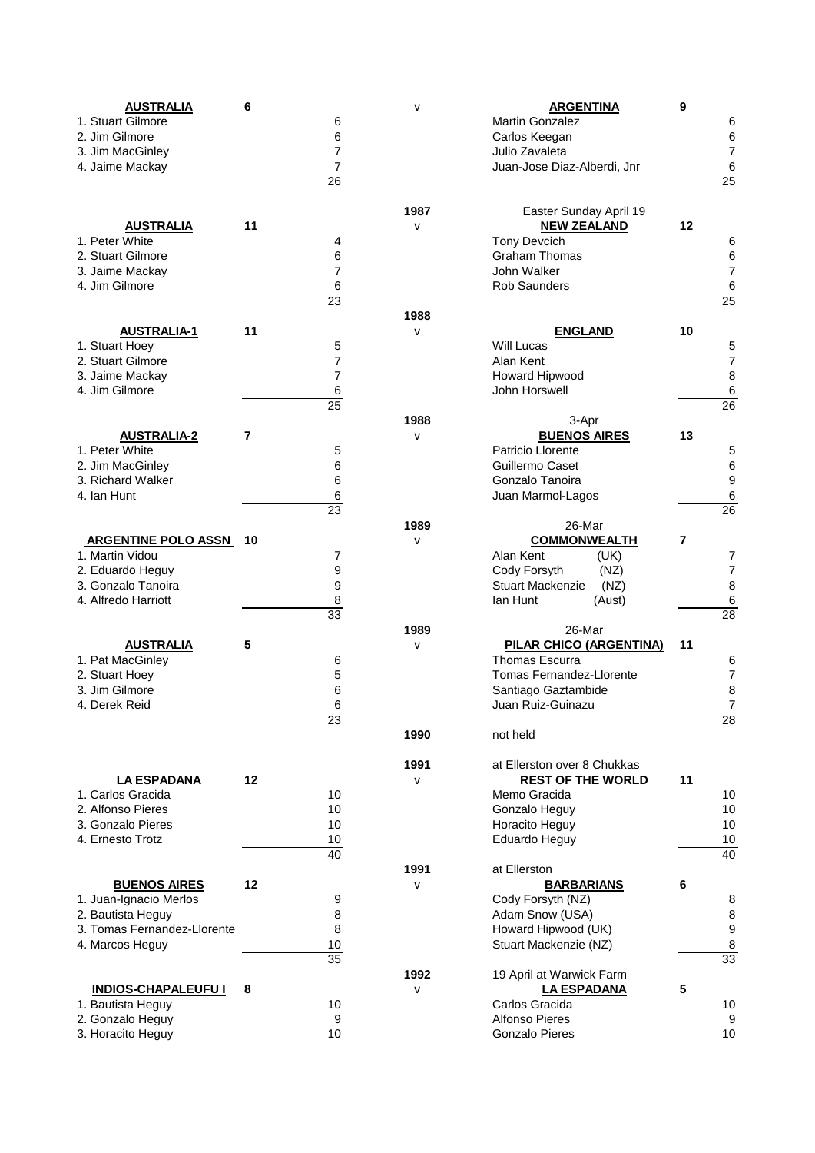| <b>AUSTRALIA</b>                        | 6  |                 | v            | <b>ARGENTINA</b>               |        | 9  |                       |
|-----------------------------------------|----|-----------------|--------------|--------------------------------|--------|----|-----------------------|
| 1. Stuart Gilmore                       |    | 6               |              | Martin Gonzalez                |        |    | 6                     |
| 2. Jim Gilmore                          |    | 6               |              | Carlos Keegan                  |        |    | 6                     |
| 3. Jim MacGinley                        |    | 7               |              | Julio Zavaleta                 |        |    | 7                     |
| 4. Jaime Mackay                         |    | 7               |              | Juan-Jose Diaz-Alberdi, Jnr    |        |    | 6                     |
|                                         |    | $\overline{26}$ |              |                                |        |    | 25                    |
|                                         |    |                 |              |                                |        |    |                       |
|                                         |    |                 | 1987         | Easter Sunday April 19         |        |    |                       |
| <b>AUSTRALIA</b>                        | 11 |                 | $\mathsf{v}$ | <b>NEW ZEALAND</b>             |        | 12 |                       |
| 1. Peter White                          |    | 4               |              | <b>Tony Devcich</b>            |        |    | 6                     |
| 2. Stuart Gilmore                       |    | 6               |              | <b>Graham Thomas</b>           |        |    | 6                     |
| 3. Jaime Mackay                         |    | 7               |              | John Walker                    |        |    | 7                     |
| 4. Jim Gilmore                          |    | 6               |              | <b>Rob Saunders</b>            |        |    | 6                     |
|                                         |    | 23              |              |                                |        |    | $\overline{25}$       |
|                                         |    |                 | 1988         |                                |        |    |                       |
| <b>AUSTRALIA-1</b>                      | 11 |                 | $\mathsf{v}$ | <b>ENGLAND</b>                 |        | 10 |                       |
| 1. Stuart Hoey                          |    | 5               |              | <b>Will Lucas</b>              |        |    | 5                     |
| 2. Stuart Gilmore                       |    | 7               |              | Alan Kent                      |        |    | $\overline{7}$        |
| 3. Jaime Mackay                         |    | 7               |              | Howard Hipwood                 |        |    | 8                     |
| 4. Jim Gilmore                          |    | 6               |              | John Horswell                  |        |    | 6                     |
|                                         |    | $\overline{25}$ |              |                                |        |    | 26                    |
|                                         |    |                 | 1988         | 3-Apr                          |        |    |                       |
| <b>AUSTRALIA-2</b>                      | 7  |                 | $\mathsf{V}$ | <b>BUENOS AIRES</b>            |        | 13 |                       |
| 1. Peter White                          |    | 5               |              | Patricio Llorente              |        |    | 5                     |
| 2. Jim MacGinley                        |    | 6               |              | Guillermo Caset                |        |    | 6                     |
| 3. Richard Walker                       |    | 6               |              | Gonzalo Tanoira                |        |    | 9                     |
| 4. Ian Hunt                             |    | 6               |              | Juan Marmol-Lagos              |        |    | 6                     |
|                                         |    | 23              |              |                                |        |    | 26                    |
|                                         |    |                 | 1989         | 26-Mar                         |        |    |                       |
| <b>ARGENTINE POLO ASSN</b>              | 10 |                 | V            | <b>COMMONWEALTH</b>            |        | 7  |                       |
| 1. Martin Vidou                         |    | 7               |              | Alan Kent                      | (UK)   |    | 7                     |
| 2. Eduardo Heguy                        |    | 9               |              | Cody Forsyth                   | (NZ)   |    | 7                     |
| 3. Gonzalo Tanoira                      |    | 9               |              | <b>Stuart Mackenzie</b>        | (NZ)   |    | 8                     |
| 4. Alfredo Harriott                     |    | 8               |              | lan Hunt                       | (Aust) |    | 6                     |
|                                         |    | 33              |              |                                |        |    | 28                    |
|                                         |    |                 | 1989         | 26-Mar                         |        |    |                       |
| <b>AUSTRALIA</b>                        | 5  |                 | $\mathsf{V}$ | <b>PILAR CHICO (ARGENTINA)</b> |        | 11 |                       |
| 1. Pat MacGinley                        |    | 6               |              | <b>Thomas Escurra</b>          |        |    | 6                     |
| 2. Stuart Hoey                          |    | 5               |              | Tomas Fernandez-Llorente       |        |    | $\overline{7}$        |
| 3. Jim Gilmore                          |    | 6               |              | Santiago Gaztambide            |        |    | 8                     |
| 4. Derek Reid                           |    | 6               |              | Juan Ruiz-Guinazu              |        |    | 7                     |
|                                         |    | 23              |              |                                |        |    | 28                    |
|                                         |    |                 | 1990         | not held                       |        |    |                       |
|                                         |    |                 | 1991         | at Ellerston over 8 Chukkas    |        |    |                       |
|                                         | 12 |                 |              |                                |        | 11 |                       |
| <b>LA ESPADANA</b><br>1. Carlos Gracida |    |                 | v            | <b>REST OF THE WORLD</b>       |        |    |                       |
|                                         |    | 10              |              | Memo Gracida                   |        |    | 10                    |
| 2. Alfonso Pieres<br>3. Gonzalo Pieres  |    | 10              |              | Gonzalo Heguy                  |        |    | 10                    |
|                                         |    | 10              |              | Horacito Heguy                 |        |    | 10                    |
| 4. Ernesto Trotz                        |    | 10              |              | Eduardo Heguy                  |        |    | 10<br>$\overline{40}$ |
|                                         |    | 40              |              |                                |        |    |                       |
|                                         |    |                 | 1991         | at Ellerston                   |        |    |                       |
| <b>BUENOS AIRES</b>                     | 12 |                 | $\mathsf{v}$ | <b>BARBARIANS</b>              |        | 6  |                       |
| 1. Juan-Ignacio Merlos                  |    | 9               |              | Cody Forsyth (NZ)              |        |    | 8                     |
| 2. Bautista Heguy                       |    | 8               |              | Adam Snow (USA)                |        |    | 8                     |
| 3. Tomas Fernandez-Llorente             |    | 8               |              | Howard Hipwood (UK)            |        |    | 9                     |
| 4. Marcos Heguy                         |    | 10              |              | Stuart Mackenzie (NZ)          |        |    | 8                     |
|                                         |    | $\overline{35}$ |              |                                |        |    | 33                    |
|                                         |    |                 | 1992         | 19 April at Warwick Farm       |        |    |                       |
| <b>INDIOS-CHAPALEUFU I</b>              | 8  |                 | $\mathsf{V}$ | <b>LA ESPADANA</b>             |        | 5  |                       |
| 1. Bautista Heguy                       |    | 10              |              | Carlos Gracida                 |        |    | 10                    |
| 2. Gonzalo Heguy                        |    | 9               |              | <b>Alfonso Pieres</b>          |        |    | 9                     |
| 3. Horacito Heguy                       |    | 10              |              | <b>Gonzalo Pieres</b>          |        |    | 10                    |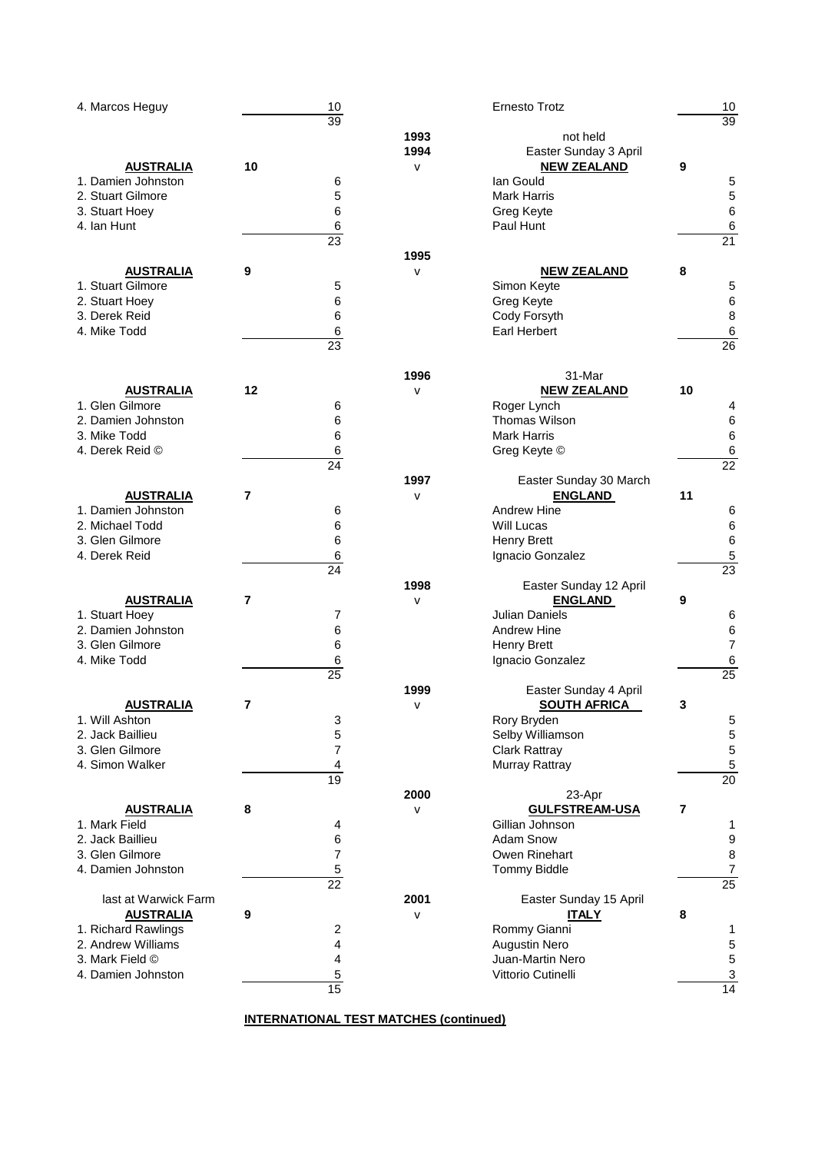| 4. Marcos Heguy      | 10<br>39                |              | <b>Ernesto Trotz</b>                         |                | 10<br>39                 |
|----------------------|-------------------------|--------------|----------------------------------------------|----------------|--------------------------|
|                      |                         | 1993         | not held                                     |                |                          |
|                      |                         | 1994         | Easter Sunday 3 April                        |                |                          |
| <b>AUSTRALIA</b>     | 10                      | $\mathsf{V}$ | <b>NEW ZEALAND</b>                           | 9              |                          |
| 1. Damien Johnston   | 6                       |              | lan Gould                                    |                | 5                        |
| 2. Stuart Gilmore    | 5                       |              | <b>Mark Harris</b>                           |                | 5                        |
| 3. Stuart Hoey       | 6                       |              | Greg Keyte                                   |                | 6                        |
| 4. Ian Hunt          | 6                       |              | Paul Hunt                                    |                | 6                        |
|                      | $\overline{23}$         |              |                                              |                | 21                       |
|                      |                         | 1995         |                                              |                |                          |
| <b>AUSTRALIA</b>     | 9                       | $\mathsf{v}$ | <b>NEW ZEALAND</b>                           | 8              |                          |
| 1. Stuart Gilmore    | 5                       |              | Simon Keyte                                  |                | 5                        |
| 2. Stuart Hoey       | 6                       |              | Greg Keyte                                   |                | $\,6$                    |
| 3. Derek Reid        | 6                       |              | Cody Forsyth                                 |                | 8                        |
| 4. Mike Todd         | 6<br>23                 |              | <b>Earl Herbert</b>                          |                | 6<br>$\overline{26}$     |
|                      |                         |              |                                              |                |                          |
|                      |                         | 1996         | 31-Mar                                       |                |                          |
| <b>AUSTRALIA</b>     | 12                      | $\sf{V}$     | <b>NEW ZEALAND</b>                           | 10             |                          |
| 1. Glen Gilmore      | 6                       |              | Roger Lynch                                  |                | 4                        |
| 2. Damien Johnston   | 6                       |              | <b>Thomas Wilson</b>                         |                | 6                        |
| 3. Mike Todd         | 6                       |              | <b>Mark Harris</b>                           |                | 6                        |
| 4. Derek Reid ©      | 6                       |              | Greg Keyte ©                                 |                | 6                        |
|                      | 24                      |              |                                              |                | 22                       |
|                      |                         | 1997         | Easter Sunday 30 March                       |                |                          |
| <b>AUSTRALIA</b>     | $\overline{7}$          | $\mathsf{V}$ | <b>ENGLAND</b>                               | 11             |                          |
| 1. Damien Johnston   | 6                       |              | Andrew Hine                                  |                | 6                        |
| 2. Michael Todd      | 6                       |              | <b>Will Lucas</b>                            |                | $\,6$                    |
| 3. Glen Gilmore      | 6                       |              | <b>Henry Brett</b>                           |                | 6                        |
| 4. Derek Reid        | 6                       |              | Ignacio Gonzalez                             |                | 5                        |
|                      | 24                      |              |                                              |                | 23                       |
|                      |                         | 1998         | Easter Sunday 12 April                       |                |                          |
| <b>AUSTRALIA</b>     | $\overline{7}$          | $\mathsf{v}$ | <b>ENGLAND</b>                               | 9              |                          |
| 1. Stuart Hoey       | 7                       |              | <b>Julian Daniels</b>                        |                | 6                        |
| 2. Damien Johnston   | 6                       |              | Andrew Hine                                  |                | 6                        |
| 3. Glen Gilmore      | 6                       |              | <b>Henry Brett</b>                           |                | $\overline{7}$           |
| 4. Mike Todd         | 6                       |              | Ignacio Gonzalez                             |                | 6<br>$\overline{25}$     |
|                      | 25                      |              |                                              |                |                          |
| <b>AUSTRALIA</b>     | $\overline{\mathbf{r}}$ | 1999         | Easter Sunday 4 April<br><b>SOUTH AFRICA</b> |                |                          |
| 1. Will Ashton       | 3                       | v            | Rory Bryden                                  | 3              | 5                        |
| 2. Jack Baillieu     | 5                       |              | Selby Williamson                             |                | 5                        |
| 3. Glen Gilmore      | 7                       |              | <b>Clark Rattray</b>                         |                | 5                        |
| 4. Simon Walker      | 4                       |              | Murray Rattray                               |                | 5                        |
|                      | 19                      |              |                                              |                | $\overline{20}$          |
|                      |                         | 2000         | 23-Apr                                       |                |                          |
| <b>AUSTRALIA</b>     | 8                       | v            | <b>GULFSTREAM-USA</b>                        | $\overline{7}$ |                          |
| 1. Mark Field        | 4                       |              | Gillian Johnson                              |                | 1                        |
| 2. Jack Baillieu     | 6                       |              | Adam Snow                                    |                | 9                        |
| 3. Glen Gilmore      | $\overline{7}$          |              | Owen Rinehart                                |                | 8                        |
| 4. Damien Johnston   | $\,$ 5 $\,$             |              | <b>Tommy Biddle</b>                          |                | $\overline{\mathcal{I}}$ |
|                      | 22                      |              |                                              |                | $\overline{25}$          |
| last at Warwick Farm |                         | 2001         | Easter Sunday 15 April                       |                |                          |
| <b>AUSTRALIA</b>     | 9                       | $\mathsf{V}$ | <b>ITALY</b>                                 | 8              |                          |
| 1. Richard Rawlings  | 2                       |              | Rommy Gianni                                 |                | 1                        |
| 2. Andrew Williams   | 4                       |              | <b>Augustin Nero</b>                         |                | 5                        |
| 3. Mark Field ©      | 4                       |              | Juan-Martin Nero                             |                | 5                        |
| 4. Damien Johnston   | 5                       |              | Vittorio Cutinelli                           |                | 3                        |
|                      | 15                      |              |                                              |                | $\overline{14}$          |

**INTERNATIONAL TEST MATCHES (continued)**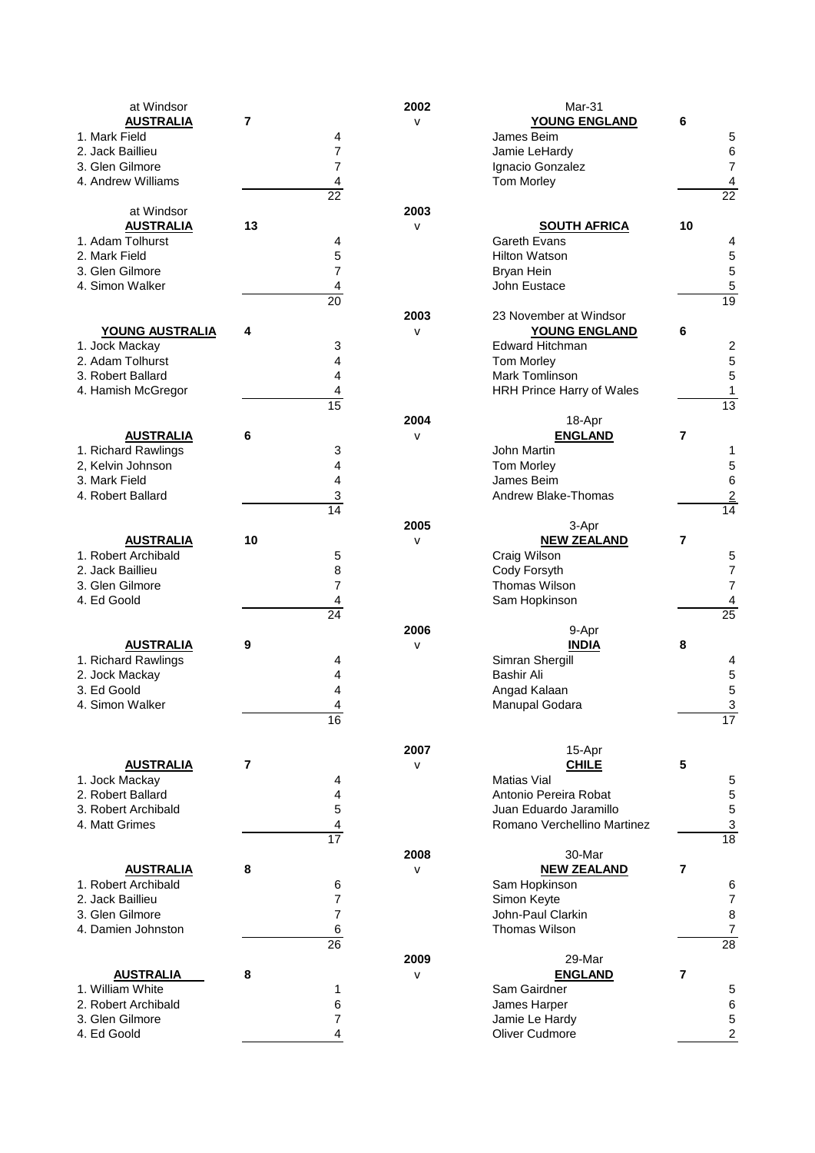| at Windsor             |                 | 2002         | Mar-31                      |                 |
|------------------------|-----------------|--------------|-----------------------------|-----------------|
| <b>AUSTRALIA</b>       | 7               | $\mathsf{v}$ | <b>YOUNG ENGLAND</b>        | 6               |
| 1. Mark Field          | 4               |              | James Beim                  | 5               |
| 2. Jack Baillieu       | 7               |              | Jamie LeHardy               | 6               |
| 3. Glen Gilmore        | $\overline{7}$  |              | Ignacio Gonzalez            | 7               |
| 4. Andrew Williams     | 4               |              | Tom Morley                  | 4               |
|                        | $\overline{22}$ |              |                             | $\overline{22}$ |
|                        |                 |              |                             |                 |
| at Windsor             |                 | 2003         |                             |                 |
| <b>AUSTRALIA</b>       | 13              | $\sf{V}$     | <b>SOUTH AFRICA</b>         | 10              |
| 1. Adam Tolhurst       | 4               |              | Gareth Evans                | 4               |
| 2. Mark Field          | 5               |              | <b>Hilton Watson</b>        | 5               |
| 3. Glen Gilmore        | $\overline{7}$  |              | <b>Bryan Hein</b>           | 5               |
| 4. Simon Walker        | 4               |              | John Eustace                | 5               |
|                        | $\overline{20}$ |              |                             | $\overline{19}$ |
|                        |                 | 2003         | 23 November at Windsor      |                 |
| <b>YOUNG AUSTRALIA</b> | 4               | V            | YOUNG ENGLAND               | 6               |
| 1. Jock Mackay         | 3               |              | <b>Edward Hitchman</b>      | 2               |
| 2. Adam Tolhurst       | 4               |              | Tom Morley                  | 5               |
| 3. Robert Ballard      | 4               |              | <b>Mark Tomlinson</b>       | 5               |
| 4. Hamish McGregor     | 4               |              | HRH Prince Harry of Wales   | 1               |
|                        | $\overline{15}$ |              |                             | 13              |
|                        |                 | 2004         |                             |                 |
|                        |                 |              | 18-Apr                      |                 |
| <b>AUSTRALIA</b>       | 6               | $\sf{V}$     | <b>ENGLAND</b>              | 7               |
| 1. Richard Rawlings    | 3               |              | John Martin                 | 1               |
| 2, Kelvin Johnson      | 4               |              | <b>Tom Morley</b>           | 5               |
| 3. Mark Field          | 4               |              | James Beim                  | 6               |
| 4. Robert Ballard      | 3               |              | Andrew Blake-Thomas         | $\overline{2}$  |
|                        | 14              |              |                             | 14              |
|                        |                 | 2005         | 3-Apr                       |                 |
| <b>AUSTRALIA</b>       | 10              | V            | <b>NEW ZEALAND</b>          | 7               |
| 1. Robert Archibald    | 5               |              | Craig Wilson                | 5               |
| 2. Jack Baillieu       | 8               |              | Cody Forsyth                | 7               |
| 3. Glen Gilmore        | $\overline{7}$  |              | Thomas Wilson               | $\overline{7}$  |
| 4. Ed Goold            | 4               |              | Sam Hopkinson               | 4               |
|                        | 24              |              |                             | 25              |
|                        |                 | 2006         | 9-Apr                       |                 |
| <b>AUSTRALIA</b>       | 9               | $\sf{V}$     | <b>INDIA</b>                | 8               |
| 1. Richard Rawlings    | 4               |              | Simran Shergill             | 4               |
|                        | 4               |              | <b>Bashir Ali</b>           |                 |
| 2. Jock Mackay         |                 |              |                             | 5               |
| 3. Ed Goold            | 4               |              | Angad Kalaan                | 5               |
| 4. Simon Walker        | 4               |              | Manupal Godara              | 3               |
|                        | 16              |              |                             | 17              |
|                        |                 |              |                             |                 |
|                        |                 | 2007         | 15-Apr                      |                 |
| <b>AUSTRALIA</b>       | 7               | v            | <b>CHILE</b>                | 5               |
| 1. Jock Mackay         | 4               |              | Matias Vial                 | 5               |
| 2. Robert Ballard      | 4               |              | Antonio Pereira Robat       | 5               |
| 3. Robert Archibald    | 5               |              | Juan Eduardo Jaramillo      | 5               |
| 4. Matt Grimes         | 4               |              | Romano Verchellino Martinez | 3               |
|                        | $\overline{17}$ |              |                             | 18              |
|                        |                 | 2008         | 30-Mar                      |                 |
| <b>AUSTRALIA</b>       | 8               | $\sf{V}$     | <b>NEW ZEALAND</b>          | 7               |
| 1. Robert Archibald    | 6               |              | Sam Hopkinson               | 6               |
| 2. Jack Baillieu       | 7               |              | Simon Keyte                 | 7               |
| 3. Glen Gilmore        | $\overline{7}$  |              | John-Paul Clarkin           | 8               |
| 4. Damien Johnston     | 6               |              | <b>Thomas Wilson</b>        | 7               |
|                        | $\overline{26}$ |              |                             | $\overline{28}$ |
|                        |                 | 2009         | 29-Mar                      |                 |
|                        | 8               |              |                             | 7               |
| <b>AUSTRALIA</b>       |                 | $\sf{V}$     | <b>ENGLAND</b>              |                 |
| 1. William White       | 1               |              | Sam Gairdner                | 5               |
| 2. Robert Archibald    | 6               |              | James Harper                | 6               |
| 3. Glen Gilmore        | $\overline{7}$  |              | Jamie Le Hardy              | 5               |
| 4. Ed Goold            | 4               |              | Oliver Cudmore              | 2               |
|                        |                 |              |                             |                 |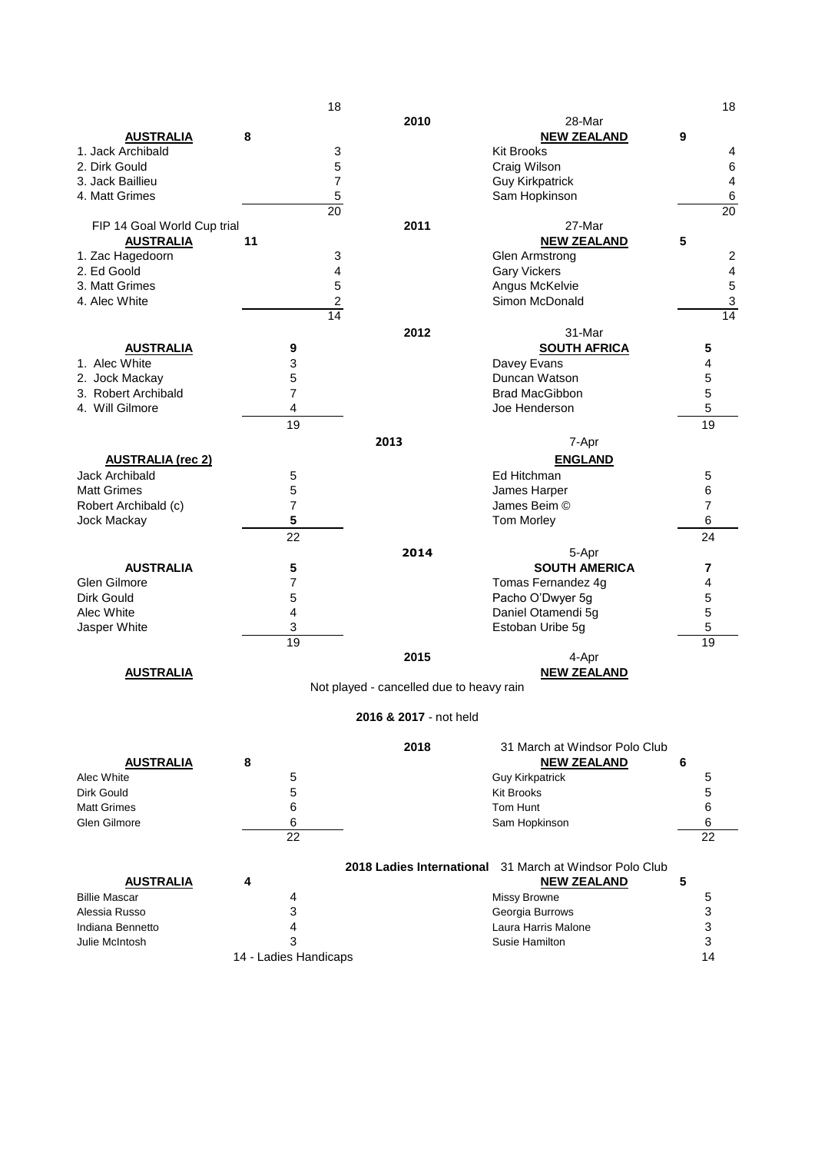|                             |                       | 18                                       |                                                                |   | 18                      |
|-----------------------------|-----------------------|------------------------------------------|----------------------------------------------------------------|---|-------------------------|
|                             |                       | 2010                                     | 28-Mar                                                         |   |                         |
| <b>AUSTRALIA</b>            | 8                     |                                          | <b>NEW ZEALAND</b>                                             | 9 |                         |
| 1. Jack Archibald           |                       | 3                                        | <b>Kit Brooks</b>                                              |   | 4                       |
|                             |                       |                                          |                                                                |   |                         |
| 2. Dirk Gould               |                       | 5                                        | Craig Wilson                                                   |   | $\,6\,$                 |
| 3. Jack Baillieu            |                       | 7                                        | <b>Guy Kirkpatrick</b>                                         |   | 4                       |
| 4. Matt Grimes              |                       | $\mathbf 5$                              | Sam Hopkinson                                                  |   | $\,6\,$                 |
|                             |                       | 20                                       |                                                                |   | 20                      |
| FIP 14 Goal World Cup trial |                       | 2011                                     | 27-Mar                                                         |   |                         |
| <b>AUSTRALIA</b>            | 11                    |                                          | <b>NEW ZEALAND</b>                                             | 5 |                         |
| 1. Zac Hagedoorn            |                       | 3                                        | <b>Glen Armstrong</b>                                          |   | $\boldsymbol{2}$        |
|                             |                       |                                          |                                                                |   |                         |
| 2. Ed Goold                 |                       | 4                                        | <b>Gary Vickers</b>                                            |   | $\overline{\mathbf{4}}$ |
| 3. Matt Grimes              |                       | 5                                        | Angus McKelvie                                                 |   | 5                       |
| 4. Alec White               |                       | $\overline{\mathbf{c}}$                  | Simon McDonald                                                 |   | $\mathsf 3$             |
|                             |                       | 14                                       |                                                                |   | 14                      |
|                             |                       | 2012                                     | 31-Mar                                                         |   |                         |
|                             |                       |                                          |                                                                |   |                         |
| <b>AUSTRALIA</b>            | 9                     |                                          | <b>SOUTH AFRICA</b>                                            |   | 5                       |
| 1. Alec White               | 3                     |                                          | Davey Evans                                                    |   | 4                       |
| 2. Jock Mackay              | 5                     |                                          | Duncan Watson                                                  |   | 5                       |
| 3. Robert Archibald         | 7                     |                                          | <b>Brad MacGibbon</b>                                          |   | 5                       |
| 4. Will Gilmore             | 4                     |                                          | Joe Henderson                                                  |   | 5                       |
|                             | 19                    |                                          |                                                                |   | 19                      |
|                             |                       |                                          |                                                                |   |                         |
|                             |                       | 2013                                     | 7-Apr                                                          |   |                         |
| <b>AUSTRALIA (rec 2)</b>    |                       |                                          | <b>ENGLAND</b>                                                 |   |                         |
| <b>Jack Archibald</b>       | 5                     |                                          | Ed Hitchman                                                    |   | 5                       |
|                             |                       |                                          |                                                                |   |                         |
| <b>Matt Grimes</b>          | 5                     |                                          | James Harper                                                   |   | 6                       |
| Robert Archibald (c)        | $\overline{7}$        |                                          | James Beim ©                                                   |   | $\overline{7}$          |
| Jock Mackay                 | 5                     |                                          | <b>Tom Morley</b>                                              |   | 6                       |
|                             | 22                    |                                          |                                                                |   | 24                      |
|                             |                       | 2014                                     | 5-Apr                                                          |   |                         |
| <b>AUSTRALIA</b>            |                       |                                          | <b>SOUTH AMERICA</b>                                           |   |                         |
|                             | 5                     |                                          |                                                                |   | 7                       |
| Glen Gilmore                | 7                     |                                          | Tomas Fernandez 4g                                             |   | 4                       |
| Dirk Gould                  | 5                     |                                          | Pacho O'Dwyer 5g                                               |   | 5                       |
| Alec White                  | 4                     |                                          | Daniel Otamendi 5g                                             |   | 5                       |
| Jasper White                | 3                     |                                          | Estoban Uribe 5g                                               |   | 5                       |
|                             | 19                    |                                          |                                                                |   | 19                      |
|                             |                       | 2015                                     | 4-Apr                                                          |   |                         |
|                             |                       |                                          |                                                                |   |                         |
| <b>AUSTRALIA</b>            |                       |                                          | <b>NEW ZEALAND</b>                                             |   |                         |
|                             |                       | Not played - cancelled due to heavy rain |                                                                |   |                         |
|                             |                       |                                          |                                                                |   |                         |
|                             |                       | 2016 & 2017 - not held                   |                                                                |   |                         |
|                             |                       |                                          |                                                                |   |                         |
|                             |                       | 2018                                     | 31 March at Windsor Polo Club                                  |   |                         |
| <b>AUSTRALIA</b>            | 8                     |                                          | <b>NEW ZEALAND</b>                                             | 6 |                         |
|                             |                       |                                          |                                                                |   |                         |
| Alec White                  | 5                     |                                          | <b>Guy Kirkpatrick</b>                                         |   | 5                       |
| Dirk Gould                  | 5                     |                                          | <b>Kit Brooks</b>                                              |   | 5                       |
| <b>Matt Grimes</b>          | 6                     |                                          | Tom Hunt                                                       |   | 6                       |
| Glen Gilmore                | 6                     |                                          | Sam Hopkinson                                                  |   | 6                       |
|                             | 22                    |                                          |                                                                |   | 22                      |
|                             |                       |                                          |                                                                |   |                         |
|                             |                       |                                          |                                                                |   |                         |
|                             |                       |                                          | <b>2018 Ladies International</b> 31 March at Windsor Polo Club |   |                         |
| <b>AUSTRALIA</b>            | 4                     |                                          | <b>NEW ZEALAND</b>                                             | 5 |                         |
| <b>Billie Mascar</b>        | 4                     |                                          | Missy Browne                                                   |   | 5                       |
| Alessia Russo               | 3                     |                                          | Georgia Burrows                                                |   | 3                       |
| Indiana Bennetto            | 4                     |                                          | Laura Harris Malone                                            |   | 3                       |
| Julie McIntosh              | 3                     |                                          | Susie Hamilton                                                 |   | 3                       |
|                             |                       |                                          |                                                                |   |                         |
|                             | 14 - Ladies Handicaps |                                          |                                                                |   | 14                      |
|                             |                       |                                          |                                                                |   |                         |